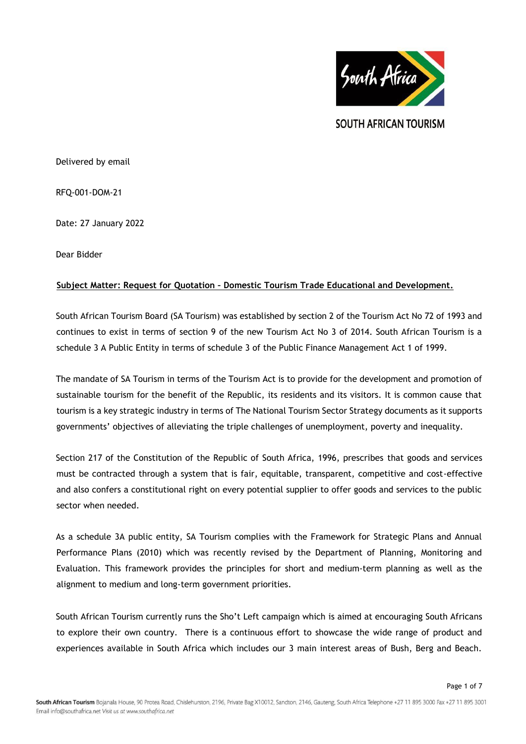

**SOUTH AFRICAN TOURISM** 

Delivered by email

RFQ-001-DOM-21

Date: 27 January 2022

Dear Bidder

# **Subject Matter: Request for Quotation – Domestic Tourism Trade Educational and Development.**

South African Tourism Board (SA Tourism) was established by section 2 of the Tourism Act No 72 of 1993 and continues to exist in terms of section 9 of the new Tourism Act No 3 of 2014. South African Tourism is a schedule 3 A Public Entity in terms of schedule 3 of the Public Finance Management Act 1 of 1999.

The mandate of SA Tourism in terms of the Tourism Act is to provide for the development and promotion of sustainable tourism for the benefit of the Republic, its residents and its visitors. It is common cause that tourism is a key strategic industry in terms of The National Tourism Sector Strategy documents as it supports governments' objectives of alleviating the triple challenges of unemployment, poverty and inequality.

Section 217 of the Constitution of the Republic of South Africa, 1996, prescribes that goods and services must be contracted through a system that is fair, equitable, transparent, competitive and cost-effective and also confers a constitutional right on every potential supplier to offer goods and services to the public sector when needed.

As a schedule 3A public entity, SA Tourism complies with the Framework for Strategic Plans and Annual Performance Plans (2010) which was recently revised by the Department of Planning, Monitoring and Evaluation. This framework provides the principles for short and medium-term planning as well as the alignment to medium and long-term government priorities.

South African Tourism currently runs the Sho't Left campaign which is aimed at encouraging South Africans to explore their own country. There is a continuous effort to showcase the wide range of product and experiences available in South Africa which includes our 3 main interest areas of Bush, Berg and Beach.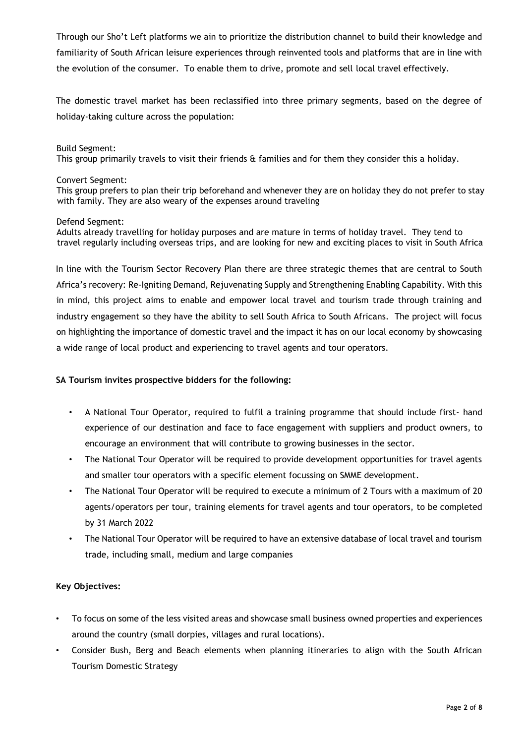Through our Sho't Left platforms we ain to prioritize the distribution channel to build their knowledge and familiarity of South African leisure experiences through reinvented tools and platforms that are in line with the evolution of the consumer. To enable them to drive, promote and sell local travel effectively.

The domestic travel market has been reclassified into three primary segments, based on the degree of holiday-taking culture across the population:

### Build Segment:

This group primarily travels to visit their friends & families and for them they consider this a holiday.

#### Convert Segment:

This group prefers to plan their trip beforehand and whenever they are on holiday they do not prefer to stay with family. They are also weary of the expenses around traveling

### Defend Segment:

Adults already travelling for holiday purposes and are mature in terms of holiday travel. They tend to travel regularly including overseas trips, and are looking for new and exciting places to visit in South Africa

In line with the Tourism Sector Recovery Plan there are three strategic themes that are central to South Africa's recovery: Re-Igniting Demand, Rejuvenating Supply and Strengthening Enabling Capability. With this in mind, this project aims to enable and empower local travel and tourism trade through training and industry engagement so they have the ability to sell South Africa to South Africans. The project will focus on highlighting the importance of domestic travel and the impact it has on our local economy by showcasing a wide range of local product and experiencing to travel agents and tour operators.

# **SA Tourism invites prospective bidders for the following:**

- A National Tour Operator, required to fulfil a training programme that should include first- hand experience of our destination and face to face engagement with suppliers and product owners, to encourage an environment that will contribute to growing businesses in the sector.
- The National Tour Operator will be required to provide development opportunities for travel agents and smaller tour operators with a specific element focussing on SMME development.
- The National Tour Operator will be required to execute a minimum of 2 Tours with a maximum of 20 agents/operators per tour, training elements for travel agents and tour operators, to be completed by 31 March 2022
- The National Tour Operator will be required to have an extensive database of local travel and tourism trade, including small, medium and large companies

# **Key Objectives:**

- To focus on some of the less visited areas and showcase small business owned properties and experiences around the country (small dorpies, villages and rural locations).
- Consider Bush, Berg and Beach elements when planning itineraries to align with the South African Tourism Domestic Strategy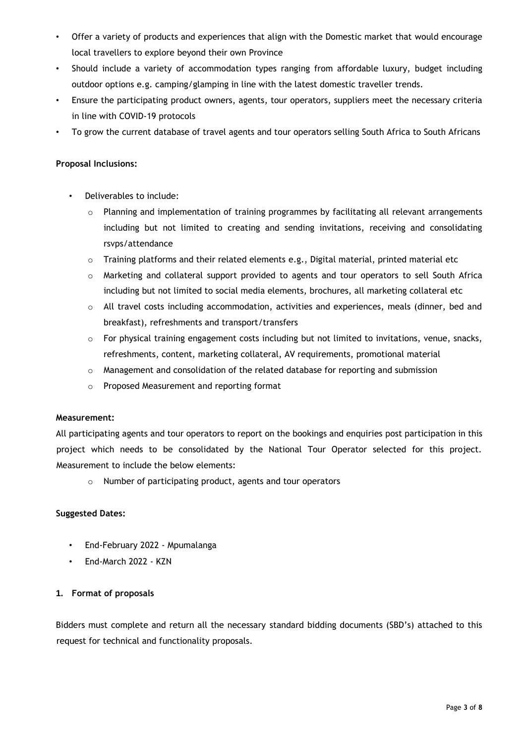- Offer a variety of products and experiences that align with the Domestic market that would encourage local travellers to explore beyond their own Province
- Should include a variety of accommodation types ranging from affordable luxury, budget including outdoor options e.g. camping/glamping in line with the latest domestic traveller trends.
- Ensure the participating product owners, agents, tour operators, suppliers meet the necessary criteria in line with COVID-19 protocols
- To grow the current database of travel agents and tour operators selling South Africa to South Africans

# **Proposal Inclusions:**

- Deliverables to include:
	- $\circ$  Planning and implementation of training programmes by facilitating all relevant arrangements including but not limited to creating and sending invitations, receiving and consolidating rsvps/attendance
	- $\circ$  Training platforms and their related elements e.g., Digital material, printed material etc
	- o Marketing and collateral support provided to agents and tour operators to sell South Africa including but not limited to social media elements, brochures, all marketing collateral etc
	- $\circ$  All travel costs including accommodation, activities and experiences, meals (dinner, bed and breakfast), refreshments and transport/transfers
	- o For physical training engagement costs including but not limited to invitations, venue, snacks, refreshments, content, marketing collateral, AV requirements, promotional material
	- $\circ$  Management and consolidation of the related database for reporting and submission
	- o Proposed Measurement and reporting format

# **Measurement:**

All participating agents and tour operators to report on the bookings and enquiries post participation in this project which needs to be consolidated by the National Tour Operator selected for this project. Measurement to include the below elements:

o Number of participating product, agents and tour operators

# **Suggested Dates:**

- End-February 2022 Mpumalanga
- End-March 2022 KZN

# **1. Format of proposals**

Bidders must complete and return all the necessary standard bidding documents (SBD's) attached to this request for technical and functionality proposals.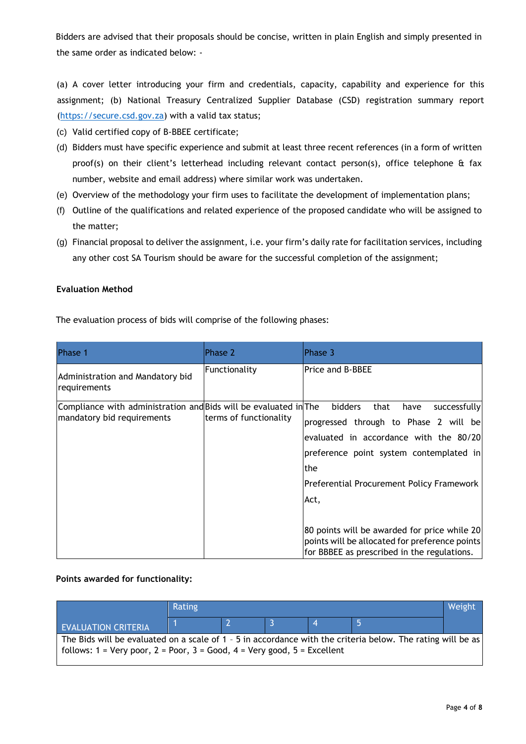Bidders are advised that their proposals should be concise, written in plain English and simply presented in the same order as indicated below: -

(a) A cover letter introducing your firm and credentials, capacity, capability and experience for this assignment; (b) National Treasury Centralized Supplier Database (CSD) registration summary report [\(https://secure.csd.gov.za\)](https://secure.csd.gov.za/) with a valid tax status;

- (c) Valid certified copy of B-BBEE certificate;
- (d) Bidders must have specific experience and submit at least three recent references (in a form of written proof(s) on their client's letterhead including relevant contact person(s), office telephone & fax number, website and email address) where similar work was undertaken.
- (e) Overview of the methodology your firm uses to facilitate the development of implementation plans;
- (f) Outline of the qualifications and related experience of the proposed candidate who will be assigned to the matter;
- (g) Financial proposal to deliver the assignment, i.e. your firm's daily rate for facilitation services, including any other cost SA Tourism should be aware for the successful completion of the assignment;

# **Evaluation Method**

The evaluation process of bids will comprise of the following phases:

| Phase 1                                                          | Phase 2                | Phase 3                                                                                                                                       |
|------------------------------------------------------------------|------------------------|-----------------------------------------------------------------------------------------------------------------------------------------------|
| Administration and Mandatory bid<br>requirements                 | Functionality          | <b>Price and B-BBEE</b>                                                                                                                       |
| Compliance with administration and Bids will be evaluated in The |                        | <b>bidders</b><br>that<br>successfully<br>have                                                                                                |
| mandatory bid requirements                                       | terms of functionality | progressed through to Phase 2 will be                                                                                                         |
|                                                                  |                        | evaluated in accordance with the 80/20                                                                                                        |
|                                                                  |                        | preference point system contemplated in                                                                                                       |
|                                                                  |                        | lthe                                                                                                                                          |
|                                                                  |                        | Preferential Procurement Policy Framework                                                                                                     |
|                                                                  |                        | Act,                                                                                                                                          |
|                                                                  |                        |                                                                                                                                               |
|                                                                  |                        | 80 points will be awarded for price while 20<br>points will be allocated for preference points<br>for BBBEE as prescribed in the regulations. |

# **Points awarded for functionality:**

|                                                                                                                                                                                           | Rating |  |  |  |  | Weight |
|-------------------------------------------------------------------------------------------------------------------------------------------------------------------------------------------|--------|--|--|--|--|--------|
| <b>EVALUATION CRITERIA</b>                                                                                                                                                                |        |  |  |  |  |        |
| The Bids will be evaluated on a scale of 1 - 5 in accordance with the criteria below. The rating will be as<br>  follows: 1 = Very poor, 2 = Poor, 3 = Good, 4 = Very good, 5 = Excellent |        |  |  |  |  |        |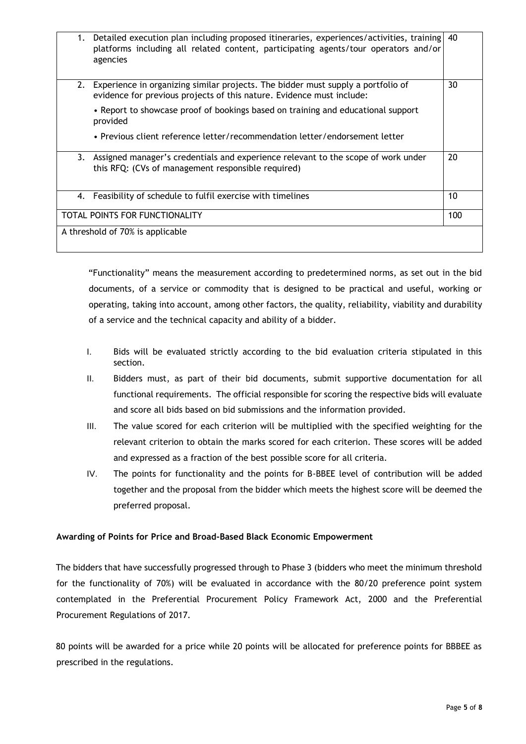| 1.                               | Detailed execution plan including proposed itineraries, experiences/activities, training<br>platforms including all related content, participating agents/tour operators and/or<br>agencies | 40  |
|----------------------------------|---------------------------------------------------------------------------------------------------------------------------------------------------------------------------------------------|-----|
| 2.                               | Experience in organizing similar projects. The bidder must supply a portfolio of<br>evidence for previous projects of this nature. Evidence must include:                                   | 30  |
|                                  | • Report to showcase proof of bookings based on training and educational support<br>provided                                                                                                |     |
|                                  | • Previous client reference letter/recommendation letter/endorsement letter                                                                                                                 |     |
| 3.                               | Assigned manager's credentials and experience relevant to the scope of work under<br>this RFQ: (CVs of management responsible required)                                                     | 20  |
|                                  | 4. Feasibility of schedule to fulfil exercise with timelines                                                                                                                                | 10  |
| TOTAL POINTS FOR FUNCTIONALITY   |                                                                                                                                                                                             | 100 |
| A threshold of 70% is applicable |                                                                                                                                                                                             |     |

"Functionality" means the measurement according to predetermined norms, as set out in the bid documents, of a service or commodity that is designed to be practical and useful, working or operating, taking into account, among other factors, the quality, reliability, viability and durability of a service and the technical capacity and ability of a bidder.

- I. Bids will be evaluated strictly according to the bid evaluation criteria stipulated in this section.
- II. Bidders must, as part of their bid documents, submit supportive documentation for all functional requirements. The official responsible for scoring the respective bids will evaluate and score all bids based on bid submissions and the information provided.
- III. The value scored for each criterion will be multiplied with the specified weighting for the relevant criterion to obtain the marks scored for each criterion. These scores will be added and expressed as a fraction of the best possible score for all criteria.
- IV. The points for functionality and the points for B-BBEE level of contribution will be added together and the proposal from the bidder which meets the highest score will be deemed the preferred proposal.

# **Awarding of Points for Price and Broad-Based Black Economic Empowerment**

The bidders that have successfully progressed through to Phase 3 (bidders who meet the minimum threshold for the functionality of 70%) will be evaluated in accordance with the 80/20 preference point system contemplated in the Preferential Procurement Policy Framework Act, 2000 and the Preferential Procurement Regulations of 2017.

80 points will be awarded for a price while 20 points will be allocated for preference points for BBBEE as prescribed in the regulations.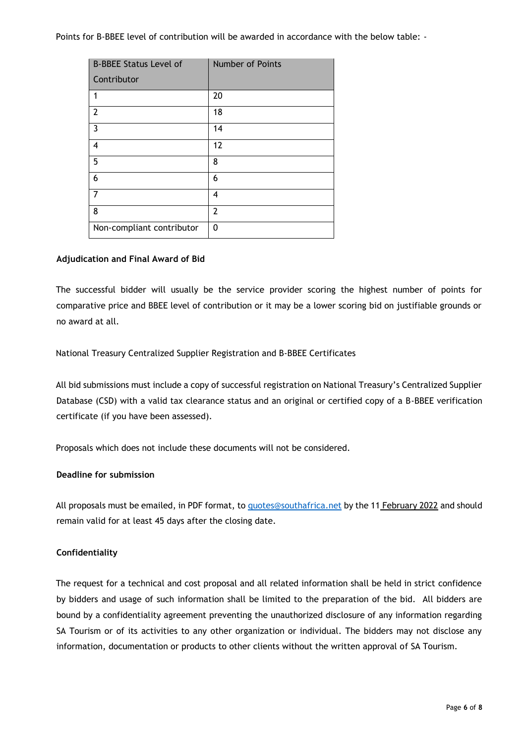Points for B-BBEE level of contribution will be awarded in accordance with the below table: -

| <b>B-BBEE Status Level of</b> | Number of Points |
|-------------------------------|------------------|
| Contributor                   |                  |
| 1                             | 20               |
| $\overline{2}$                | 18               |
| $\overline{3}$                | 14               |
| 4                             | 12               |
| 5                             | 8                |
| 6                             | 6                |
| 7                             | 4                |
| 8                             | 2                |
| Non-compliant contributor     | 0                |

# **Adjudication and Final Award of Bid**

The successful bidder will usually be the service provider scoring the highest number of points for comparative price and BBEE level of contribution or it may be a lower scoring bid on justifiable grounds or no award at all.

National Treasury Centralized Supplier Registration and B-BBEE Certificates

All bid submissions must include a copy of successful registration on National Treasury's Centralized Supplier Database (CSD) with a valid tax clearance status and an original or certified copy of a B-BBEE verification certificate (if you have been assessed).

Proposals which does not include these documents will not be considered.

### **Deadline for submission**

All proposals must be emailed, in PDF format, to [quotes@southafrica.net](mailto:quotes@southafrica.net) by the 11 February 2022 and should remain valid for at least 45 days after the closing date.

# **Confidentiality**

The request for a technical and cost proposal and all related information shall be held in strict confidence by bidders and usage of such information shall be limited to the preparation of the bid. All bidders are bound by a confidentiality agreement preventing the unauthorized disclosure of any information regarding SA Tourism or of its activities to any other organization or individual. The bidders may not disclose any information, documentation or products to other clients without the written approval of SA Tourism.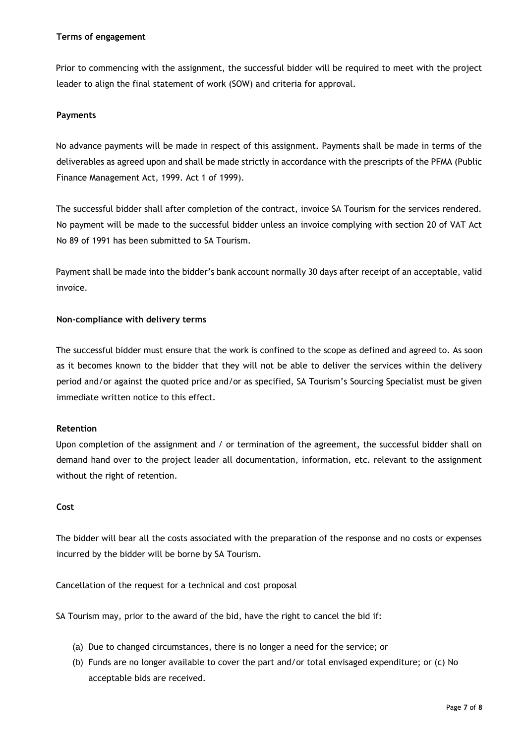### **Terms of engagement**

Prior to commencing with the assignment, the successful bidder will be required to meet with the project leader to align the final statement of work (SOW) and criteria for approval.

# **Payments**

No advance payments will be made in respect of this assignment. Payments shall be made in terms of the deliverables as agreed upon and shall be made strictly in accordance with the prescripts of the PFMA (Public Finance Management Act, 1999. Act 1 of 1999).

The successful bidder shall after completion of the contract, invoice SA Tourism for the services rendered. No payment will be made to the successful bidder unless an invoice complying with section 20 of VAT Act No 89 of 1991 has been submitted to SA Tourism.

Payment shall be made into the bidder's bank account normally 30 days after receipt of an acceptable, valid invoice.

# **Non-compliance with delivery terms**

The successful bidder must ensure that the work is confined to the scope as defined and agreed to. As soon as it becomes known to the bidder that they will not be able to deliver the services within the delivery period and/or against the quoted price and/or as specified, SA Tourism's Sourcing Specialist must be given immediate written notice to this effect.

# **Retention**

Upon completion of the assignment and / or termination of the agreement, the successful bidder shall on demand hand over to the project leader all documentation, information, etc. relevant to the assignment without the right of retention.

# **Cost**

The bidder will bear all the costs associated with the preparation of the response and no costs or expenses incurred by the bidder will be borne by SA Tourism.

Cancellation of the request for a technical and cost proposal

SA Tourism may, prior to the award of the bid, have the right to cancel the bid if:

- (a) Due to changed circumstances, there is no longer a need for the service; or
- (b) Funds are no longer available to cover the part and/or total envisaged expenditure; or (c) No acceptable bids are received.